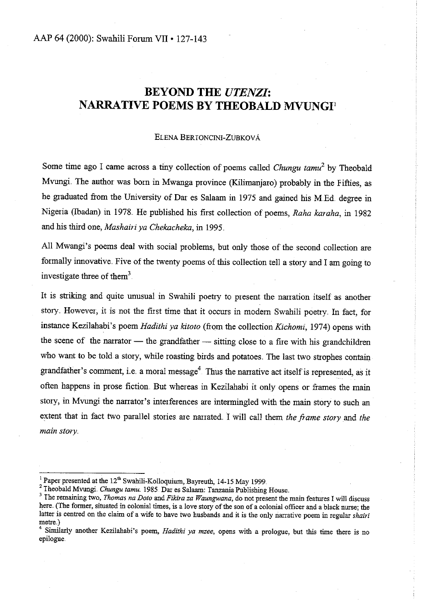# **BEYOND THE** *UTENZI:*  **NARRATIVE POEMS BY THEOBALD MVUNGI<sup>1</sup>**

#### ELENA BERTONCINI-ZUBKOVÁ

Some time ago I came across a tiny collection of poems called *Chungu tamu<sup>2</sup>*by Theobald Mvungi. The author was born in Mwanga province (Kilimanjaro) probably in the Fifties, as he graduated from the University of Dar es Salaam in 1975 and gained his M.Ed. degree in Nigeria (Ibadan) in 1978. He published his first collection of poems, *Raha karaha*, in 1982 and his third one, *Mashairi ya Chekacheka*, in 1995.

All Mwangi's poems deal with social problems, but only those of the second collection are formally innovative. Five of the twenty poems of this collection tell a story and I am going to investigate three of them<sup>3</sup>

It is striking and quite unusual in Swahili poetry to present the narration itself as another **stoty .. However, it is not the fiist time that it occurs in modern Swahili poetty .. In fact, for**  instance Kezilahabi's poem *Hadithi ya kitoto* (from the collection *Kichomi*, 1974) opens with the scene of the narrator  $-$  the grandfather  $-$  sitting close to a fire with his grandchildren who want to be told a story, while roasting birds and potatoes. The last two strophes contain grandfather's comment, i.e. a moral message<sup>4</sup>. Thus the narrative act itself is represented, as it often happens in prose fiction. But whereas in Kezilahabi it only opens or frames the main story, in Mvungi the narrator's interferences are intermingled with the main story to such an extent that in fact two parallel stories are narrated. I will call them *the frame story* and *the main story* 

<sup>1</sup> Paper presented at the 12<sup>th</sup> Swahili-Kolloquium, Bayreuth, 14-15 May 1999.<br><sup>2</sup> Theobald Mvungi. *Chungu tamu*. 1985. Dar es Salaam: Tanzania Publishing House.

<sup>&</sup>lt;sup>2</sup>The remaining two, *Thomas na Doto* and *Fikira za Waungwana*, do not present the main features I will discuss here. (The former, situated in colonial times, is a love story of the son of a colonial officer and a black nurse; the latter is centred on the claim of a wife to have two husbands and it is the only narrative poem in regular *shairi*  metre.)

<sup>4</sup>Similarly another Kezilahabi's poem, *Hadithi ya mzee,* opens with a prologue, but this time there is no epilogue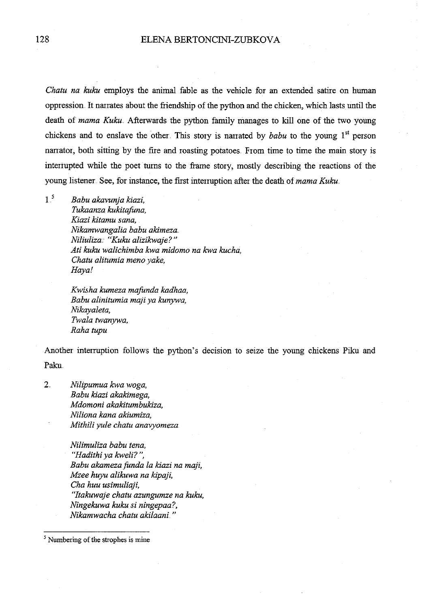*Chatu na kuku* employs the animal fable as the vehicle for an extended satire on human oppression. It narrates about the friendship of the python and the chicken, which lasts until the death of *mama Kuku*. Afterwards the python family manages to kill one of the two young chickens and to enslave the other This story is narrated by *babu* to the young 1<sup>st</sup> person narrator, both sitting by the fire and roasting potatoes. From time to time the main story is interrupted while the poet turns to the frame story, mostly describing the reactions of the young listener. See, for instance, the first interruption after the death of *mama Kuku*.

1<sup>5</sup>*Babu akavunja kiazi, Tukaanza kukitafuna, Kiazi kitamu sana, Nikamwangalia babu akimeza. Niliuliza* •· *"Kuku alizikwaje?" Ati kuku walichimba kwa midomo na kwa kucha, Chatu alitumia meno yake, Hayal* 

> *Kwisha kumeza mafunda kadhaa, Babu alinitumia maji ya kunywa, Nikayaleta, Twala twanywa, Raha tupu*

Another interruption follows the python's decision to seize the young chickens Piku and Paku.

2.. *Nilipumua kwa woga, Babu kiazi akakimega, Mdomoni akakitumbukiza, Niliona kana akiumiza, Mithili yule chatu anavyomeza* 

> *Nilimuliza babu tena,*  "Hadithi ya kweli?", *Babu akamezafunda la* kiazi *na maji, Mzee h11:yu alikuwa na kipaji, Cha huu usimuliaji, "Itakuwaje chatu azungumze na kuku, Ningekuwa kuku si ningepaa?, Nikamwacha chatu akilaani..* "

<sup>&</sup>lt;sup>5</sup> Numbering of the strophes is mine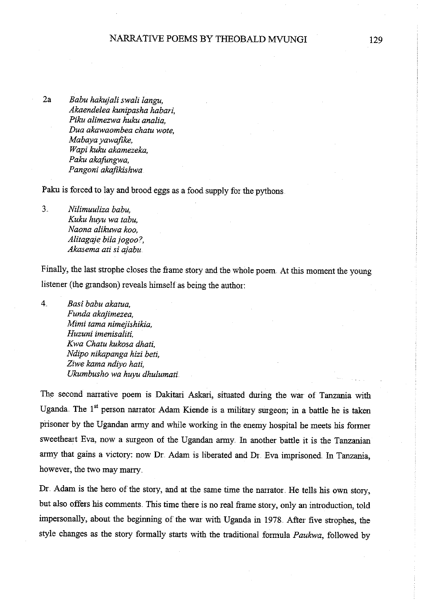2a *Babu hakujali swali langu, Akaendelea kunipasha habari, Piku alimezwa huku analia, Dua akawaombea chatu wote, Mabaya yawafike, Wapi kuku akamezeka, Paku akafungwa, Pangoni akafikishwa* 

Paku is forced to lay and brood eggs as a food supply for the pythons

3. *Nilimuuliza babu, Kuku huyu wa tabu, Naona alikuwa koo, Alitagaje bilajogoo* ?, *Akasema ati* si *ajabu* 

Finally, the last strophe closes the frame story and the whole poem. At this moment the young listener (the grandson) reveals himself as being the author:

4.. *Basi babu akatua, Funda akajimezea, Mimi tama nimejishikia, Huzuni imenisaliti, Kwa Chatu kukosa dhati, Ndipo nikapanga hizi beti, Ziwe kama ndiyo hati, Ukumbusho wa huyu dhulumati.* 

The second narrative poem is Dakitari Askari, situated during the war of Tanzania with Uganda. The 1<sup>st</sup> person narrator Adam Kiende is a military surgeon; in a battle he is taken prisoner by the Ugandan army and while working in the enemy hospital he meets his former sweetheart Eva, now a surgeon of the Ugandan army. In another battle it is the Tanzanian army that gains a victory: now Dr. Adam is liberated and Dr. Eva imprisoned. In Tanzania, however, the two may marry.

Dr. Adam is the hero of the story, and at the same time the narrator. He tells his own story, but also offers his comments. This time there is no real frame story, only an introduction, told impersonaily, about the beginning of the war with Uganda in 1978 .. After five strophes, the style changes as the story formaily starts with the traditional formula *Paukwa,* foiiowed by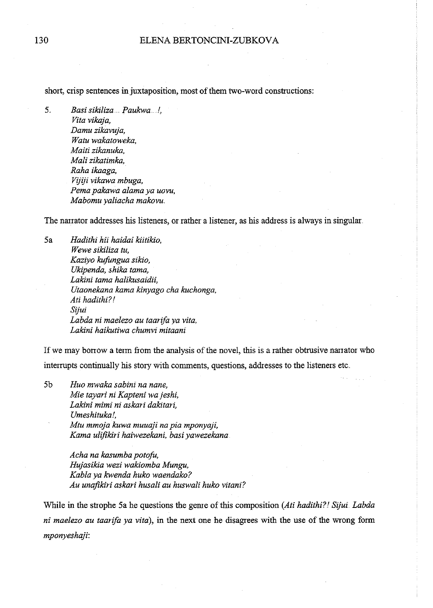short, crisp sentences in juxtaposition, most of them two-word constructions:

5.. *Basi sikiliza ..... Paukwa .* . *!, Vita vikaja, Damu zikavuja, Watu wakatoweka, Maiti zikanuka, Mali zikatimka, Raha ikaaga, Vijiji vikawa mbuga, Pema pakawa alama ya uovu, Mabomu yaliacha makovu ..* 

The narrator addresses his listeners, or rather a listener, as his address is always in singular ..

5a *Hadithi hii haidai kiitikio, Wewe sikiliza tu, Kaziyo kufongua sikio, Ukipenda, shika tama, Lakini tama halikusaidii, Utaonekana kama kinyago cha kuchonga, Ati hadithi?! Sijui Labda ni maelezo au taarifa ya vita, Lakini haikutiwa chumvi mitaani* 

If we may borrow a term from the analysis of the novel, this is a rather obtrusive narrator who interrupts continually his story with comments, questions, addresses to the listeners etc ..

5b *Huo mwaka sabini na nane, Mie tayari ni Kapteni wa jeshi, Lakini mimi ni askari dakitari, Umeshituka!, Mtu mmoja kuwa muuaji na pia mponyaji, Kama ulifikiri haiwezekani, basiyawezekana* 

> *Acha na kasumba potofu, Hujasikia wezi wakiomba Mungu, Kablaya kwenda huko waendako? Au unajikiri askari husali au huswali huko vitani?*

While in the strophe 5a he questions the genre of this composition (Ati hadithi?! Sijui. Labda *ni maelezo au taarifa ya vita),* in the next one he disagrees with the use of the wrong form *mponyeshaji:*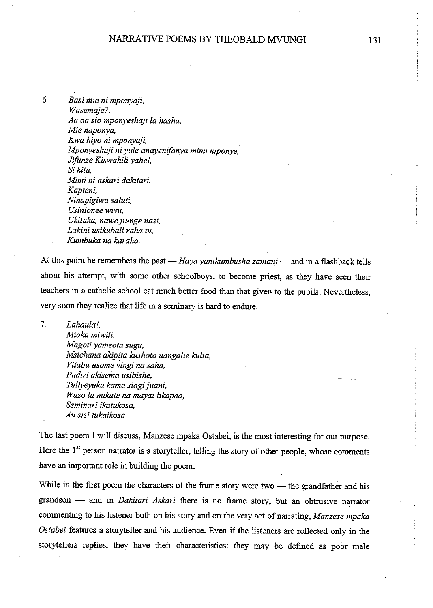6.. *Basi mie ni mponyaji, Wasemaje?, Aa aa sio mponyeshaji la hasha, Mie naponya, Kwa hiyo ni mponyaji, Mponyeshaji ni yule anayenifanya mimi niponye, Jifunze Kiswahili yahe!,* Si *kitu, Mimi ni askari dakitari, Kapteni, Ninapigiwa saluti, Usinionee wivu, Ukitaka, nawejiunge nasi, Lakini usikubali raha tu, Kumbuka na karaha* 

At this point he remembers the past - *Haya yanikumbusha zamani* - and in a flashback tells about his attempt, with some other schoolboys, to become priest, as they have seen their teachers in a catholic school eat much better food than that given to the pupils. Nevertheless, very soon they realize that life in a seminary is hard to endure.

7 *Lahaula!, Miaka miwili, Magoti yameota sugu, Msichana akipita kushoto uangalie kulia, Vitabu usome vingi na sana, Padiri akisema usibishe, Tuliyeyuka kama siagijuani, Wazo la mikate na mayai likapaa, Seminari ikatukosa,*   $Au$  sisi tukaikosa.

The last poem I will discuss, Manzese mpaka Ostabei, is the most interesting for our purpose. Here the  $1<sup>st</sup>$  person narrator is a storyteller, telling the story of other people, whose comments have an important role in building the poem.

While in the first poem the characters of the frame story were two  $-$  the grandfather and his grandson - and in *Dakitari Askari* there is no frame story, but an obtrusive narrator commenting to his listener both on his story and on the very act of narrating, *Manzese mpaka*  Ostabei features a storyteller and his audience. Even if the listeners are reflected only in the storytellers replies, they have their characteristics: they may be defined as poor male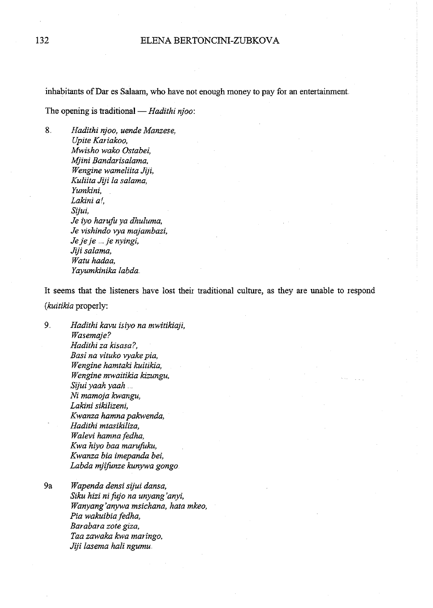inhabitants of Dar es Salaam, who have not enough money to pay for an entertainment.

The opening is traditional — *Hadithi njoo*:

8.. *Hadithi njoo, uende Manzese, Upite Kariakoo, Mwisho wako Ostabei, Mjini Bandarisalama, Wengine wameliita Jiji, Kuliita Jiji la salama, Yumkini, Lakini a!, Sijui, Je iyo harufu ya dhuluma, Je vishindo rya majambazi, Jejeje* ..... *fe nyingi, Jiji salama,*  Watu hadaa, *Yayumkinika labda ..* 

It seems that the listeners have lost their traditional culture, as they are unable to respond ( *kuitikia* properly:

9.. *Hadithi kavu isiyo na mwitikiaji, Wasemaje? Hadithi za kisasa ?, Basi na vituko ryake pia, Wengine hamtaki kuitikia, Wengine mwaitikia kizungu,*  Sijui yaah yaah ... *Ni mamoja kwangu, Lakini sikilizeni, Kwanza hamna pakwenda, Hadithi mtasikiliza, Walevi hamna fedha, Kwa hiyo baa marufuku, Kwanza bia imepanda bei, Labda mjifunze kunywa gongo* 

9a *Wapenda densi sijui dansa, Siku hizi nifitjo na unyang'anyi, Wanyang'anywa msichana, hata mkeo, Pia wakuibiafedha, Barabara zote giza, Taa zawaka kwa maringo, Jiji lasema hali ngumu.*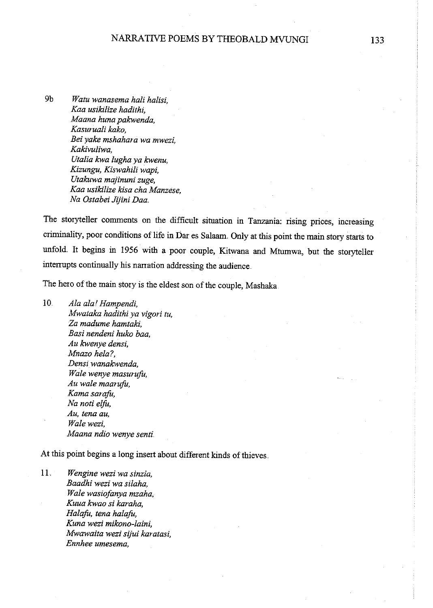9b *Watu wanasema hali halisi, Kaa usikilize hadithi, Maana huna pakwenda, Kasuruali kako, Bei yake mshahara wa mwezi, Kakivuliwa, Utalia kwa lugha ya kwenu, Kizungu, Kiswahili wapi, Utakuwa majinuni zuge, Kaa usikilize kisa cha Manzese, Na Ostabei Jijini Daa.* 

The storyteller comments on the difficult situation in Tanzania: rising prices, increasing criminality, poor conditions of life in Dar es Salaam. Only at this point the main story starts to unfold. It begins in 1956 with a poor couple, Kitwana and Mtumwa, but the storyteller interrupts continually his narration addressing the audience.

The hero of the main story is the eldest son of the couple, Mashaka.

<sup>I</sup>0. *Ala ala! Hampendi, lvfwataka hadithi ya vigori tu, Za madume hamtaki, Basi nendeni huko baa, Au kwenye densi, Mnazo hela?, Densi wanakwenda, Wale wenye masurufu, Au wale maarufu, Kama sarafo, Na noti elfu, Au, tena au, Walewezi, Maana ndio wenye senti* 

At this point begins a long insert about different kinds of thieves ..

11. *Wengine wezi wa sinzia, Baadhi wezi wa silaha, Wale wasiofanya mzaha, Kuua kwao si karaha, Halafu, tena halafo, Kuna wezi mikono-laini, Mwawaita wezi sijui karatasi, Ennhee umesema,*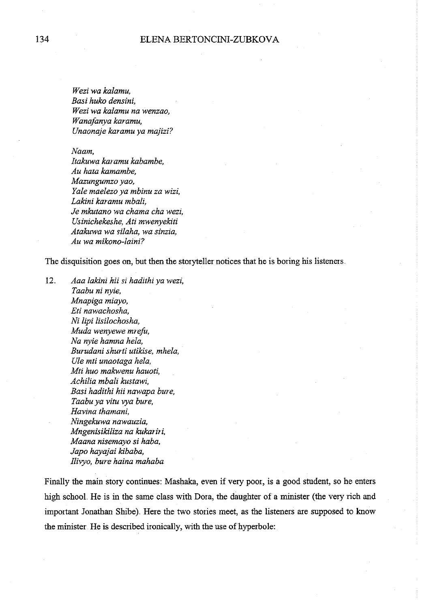*Wezi wa kalamu, Basi huko densini, Wezi wa kalamu na wenzao, Wanafanya karamu, Unaonaje karamu ya majizi?* 

*Naam,* 

*Itakuwa karamu kabambe, Au hata kamambe, Mazungumzo yao, Yale maelezo ya mbinu za* wizi, *Lakini karamu mbali, Je mkutano wa chama cha wezi, Usinichekeshe, Ati mwenyekiti Atakuwa wa Yilaha, wa sinzia, Au wa mikono-laini?* 

The disquisition goes on, but then the storyteller notices that he is boring his listeners ..

12.. *Aaa lakini hii Yi hadithi ya wezi, Taabu ni nyie, Mnapiga miayo,*  Eti nawachosha, *Ni lipi lisilochosha, Muda wenyewe mrefu, Na nyie hamna hela, Burudani shurti utikise, mhela, Ule mti unaotaga hela, Mti huo makwenu hauoti, Achilia mbali kustawi, Basi hadithi hii nawapa bure, Taabuya vitu rya bure, Havina thamani, Ningekuwa nawauzia, Mngenisikiliza na kukariri, Maana nisemayo si haba, Japo hayajai kibaba, fliryo, bure haina mahaba* 

Finally the main story continues: Mashaka, even if very poor, is a good student, so he enters high schooL He is in the same class with Dora, the daughter of a minister (the very rich and important Jonathan Shibe}. Here the two stories meet, as the listeners are supposed to know the minister He is described ironically, with the use of hyperbole: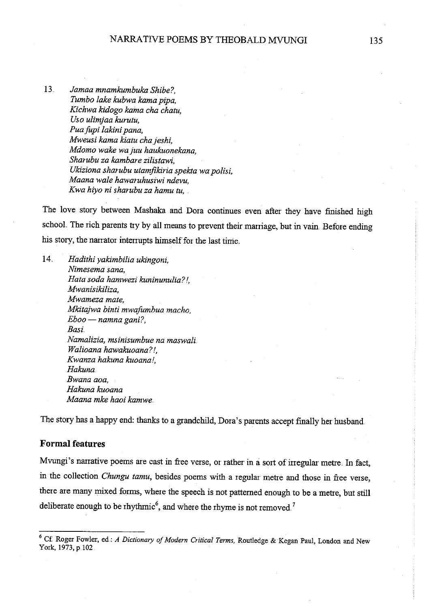13.. *Jamaa mnamkumbuka Shibe?, Tumbo lake kubwa kama pipa, Kichwa kidogo kama cha chatu, Uso ulimjaa kurutu, Puafupi lakini pana, Mweusi kama kiatu chajeshi, Mdomo wake wajuu haukuonekana, Sharubu za kambare zilistawi, Ukiziona sharubu utamfikiria spekta wa polisi, Maana wale hawaruhusiwi ndevu, Kwa hiyo ni sharubu za hamu tu,* .

The love story between Mashaka and Dora continues even after they have finished high school. The rich parents try by all means to prevent their marriage, but in vain. Before ending his story, the narrator interrupts himself for the last time.

14. *Hadithi yakimbilia ukingoni, Nimesema sana, Hata soda hamwezi kuninunulia? !, Mwanisikiliza, Mwameza mate, Mkitajwa binti mwafumbua macho, Eboo* - *namna gani?, Basi. Namalizia, msinisumbue na maswali Walioana hawakuoana? !, Kwanza hakuna kuoana!, Hakuna*  Bwana aoa. *Hakuna kuoana Maana mke haoi kamwe.* 

The story has a happy end: thanks to a grandchild, Dora's parents accept finally her husband.

### **Formal features**

Mvungi's narrative poems are cast in free verse, or rather in a sort of irregular metre. In fact, in the collection *Chungu tamu*, besides poems with a regular metre and those in free verse, there are many mixed forms, where the speech is not patterned enough to be a metre, but still deliberate enough to be rhythmic<sup>6</sup>, and where the rhyme is not removed.<sup>7</sup>

<sup>6</sup>Cf Roger Fowler, ed.: *A Dictionary of Modern Critical Terms,* Routledge & Kegan Paul, London and New York, 1973, p.102.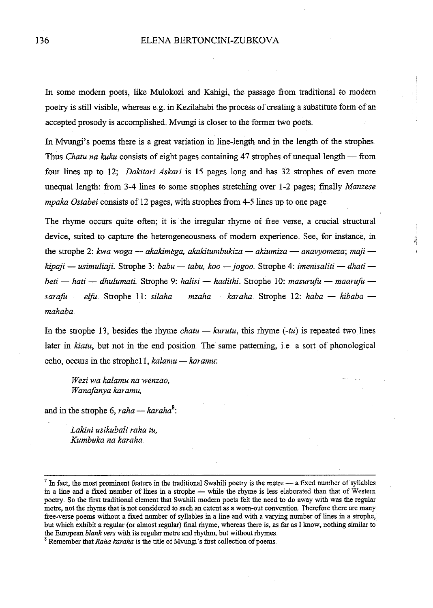In some modern poets, like Mulokozi and Kahigi, the passage from traditional to modern poetry is still visible, whereas e.g. in Kezilahabi the process of creating a substitute form of an accepted prosody is accomplished. Mvungi is closer to the former two poets.

In Mvungi's poems there is a great variation in line-length and in the length of the strophes .. Thus *Chatu na kuku* consists of eight pages containing 47 strophes of unequal length — from four lines up to 12; *Dakitari Askari* is 15 pages long and has 32 strophes of even more unequal length: from 3-4 lines to some strophes stretching over 1-2 pages; finally *Manzese mpaka Ostabei* consists of 12 pages, with strophes from 4-5 lines up to one page.

The rhyme occurs quite often; it is the irregular rhyme of free verse, a crucial structural device, suited to capture the heterogeneousness of modern experience. See, for instance, in the strophe 2: kwa woga — *akakimega, akakitumbukiza — akiumiza — anavyomeza*; maji  $kipaji$  — usimuliaji. Strophe 3: *babu* — tabu, koo — jogoo. Strophe 4: *imenisaliti* — dhati *beti- hati- dhulumati* Strophe 9: *halisi- hadithi..* Strophe 10: *masurufu- maarufusarafu* - *elfo.* Strophe 11: *silaha* - *mzaha* - *karaha* Strophe 12: *haba* - *kibaba mahaba ..* 

)1'

In the strophe 13, besides the rhyme *chatu — kurutu*, this rhyme  $(-tu)$  is repeated two lines later in *kiatu*, but not in the end position. The same patterning, i.e. a sort of phonological echo, occurs in the strophell, *kalamu* — *karamu*:

*Wezi wa kalamu na wenzao, Wanafanya karamu,* 

and in the strophe 6, *raha* — *karaha*<sup>8</sup>:

*Lakini us ikubali raha tu, Kumbuka na karaha.* 

 $<sup>7</sup>$  In fact, the most prominent feature in the traditional Swahili poetry is the metre - a fixed number of syllables</sup> in a line and a fixed number of lines in a strophe - while the rhyme is less elaborated than that of Western poetry. So the first traditional element that Swahili modem poets felt the need to do away with was the regular metre, not the rhyme that is not considered to such an extent as a worn-out convention. Therefore there are many free-verse poems without a fixed number of syllables in a line and with a varying number of lines in a strophe, but which exhibit a regular (or almost regular) final rhyme, whereas there is, as far as I know, nothing similar to the European *blank vers* with its regular metre and rhythm, but without rhymes.

<sup>&</sup>lt;sup>8</sup> Remember that *Raha karaha* is the title of Mvungi's first collection of poems.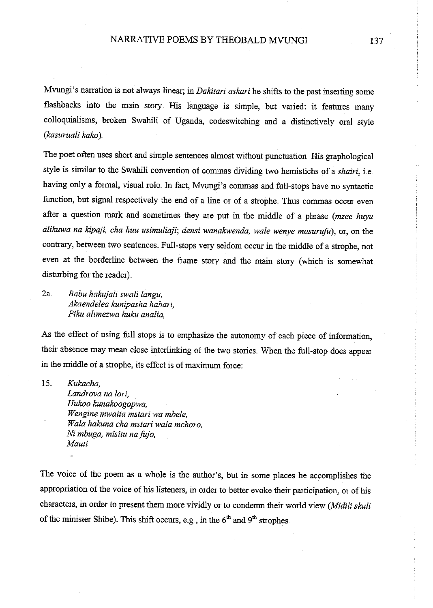Mvungi's narration is not always linear; in *Dakitari askari* he shifts to the past inserting some flashbacks into the main story. His language is simple, but varied: it features many colloquialisms, broken Swahili of Uganda, codeswitching and a distinctively oral style *(kasuruali kako* )..

The poet often uses short and simple sentences almost without punctuation. His graphological style is similar to the Swahili convention of commas dividing two hemistichs of a *shairi,* ie .. having only a formal, visual role. In fact, Mvungi's commas and full-stops have no syntactic function, but signal respectively the end of a line or of a strophe. Thus commas occur even after a question mark and sometimes they are put in the middle of a phrase *(mzee huyu alikuwa na kipaji, cha huu usimuliaji; densi wanakwenda, wale wenye masurufu),* or, on the contrary, between two sentences. Full-stops very seldom occur in the middle of a strophe, not even at the borderline between the frame story and the main story (which is somewhat disturbing for the reader)..

2a. *Babu hakujali swali langu, Akaendelea kunipasha habari, Piku alimezwa huku analia,* 

As the effect of using full stops is to emphasize the autonomy of each piece of information, their absence may mean close interlinking of the two stories. When the full-stop does appear in the middle of a strophe, its effect is of maximum force:

15.. *Kukacha,* 

*Landrova na lori, Hukoo kunakoogopwa, Wengine mwaita mstari wa mbele, Wala hakuna cha mstari wala mchoro,*   $Ni$  mbuga, misitu na fujo, *Mauti* 

The voice of the poem as a whole is the author's, but in some places he accomplishes the appropriation of the voice of his listeners, in order to better evoke their participation, or of his characters, in order to present them more vividly or to condemn their world view *(Midili skuli*  of the minister Shibe). This shift occurs, e.g., in the  $6<sup>th</sup>$  and  $9<sup>th</sup>$  strophes.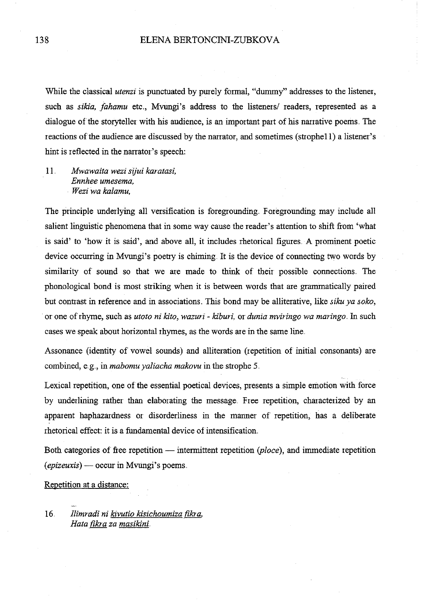While the classical *utenzi* is punctuated by purely formal, "dummy" addresses to the listener, such as *sikia, fahamu* etc., Mvungi's address to the listeners/ readers, represented as a dialogue of the storyteller with his audience, is an important part of his narrative poems. The reactions of the audience are discussed by the narrator, and sometimes (strophe11) a listener's hint is reflected in the narrator's speech:

11.. *Mwawaita wezi sijui karatasi, Ennhee umesema, Wezi wa kalamu,* 

The principle underlying all versification is foregrounding. Foregrounding may include all salient linguistic phenomena that in some way cause the reader's attention to shift fiom 'what is said' to 'how it is said', and above all, it includes rhetorical figures .. A prominent poetic device occurring in Mvungi's poetry is chiming. It is the device of connecting two words by similarity of sound so that we are made to think of their possible connections. The phonological bond is most striking when it is between words that are grammatically paired but contrast in reference and in associations. This bond may be alliterative, like *siku ya soko*, or one of rhyme, such as *utoto ni kito, wazuri* - *kiburi,* or *dunia mviringo wa maringo ..* In such cases we speak about horizontal rhymes, as the words are in the same line.

Assonance (identity of vowel sounds) and alliteration (repetition of initial consonants) are combined, e.g., in *mabomu yaliacha makovu* in the strophe 5.

Lexical repetition, one of the essential poetical devices, presents a simple emotion with force by underlining rather than elaborating the message.. Free repetition, characterized by an apparent haphazardness or disorderliness in the manner of repetition, has a deliberate rhetorical effect: it is a fundamental device of intensification.

Both categories of free repetition — intermittent repetition (ploce), and immediate repetition *(epizeuxis)-* occur in Mvungi's poems ..

Repetition at a distance:

16. *llimradi ni kivutio kisichoumiza fikra, Hata fikra za masikini.*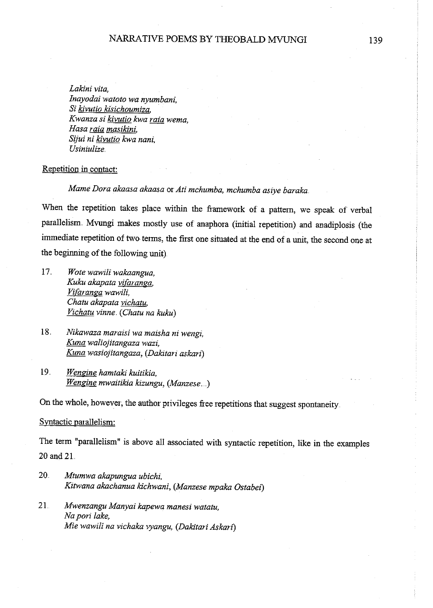*Lakini vita, Inayodai watoto wa nyumbani, Si k:ivutio k:isichoumiza, Kwanza si k:ivutio kwa raia wema, Hasa raia masik:ini, Sijui ni k:ivutio kwa nani, Usiniulize.* 

#### Repetition in contact:

*Mame Dora akaasa akaasa* or *Ati mchumba, mchumba asiye baraka ..* 

When the repetition takes place within the framework of a pattern, we speak of verbal parallelism. Mvungi makes mostly use of anaphora (initial repetition) and anadiplosis (the immediate repetition of two terms, the first one situated at the end of a unit, the second one at the beginning of the following unit)

- 17. *Wote wawili wakaangua, Kuku akapata vifaranga, Vi(aranga wawili, Chatu akapata vichatu, Vichatu vinne.* **(** *Chatu na kuku)*
- 18. *Nikawaza maraisi wa maisha ni wengi, Kuna waliojitangaza wazi, Kuna wasiojitangaza, (Dak:itari askari)*
- 19.. *Wengine hamtak:i kuitik:ia, Wengine mwaitik:ia kizungu, (Manzese ..* .)

On the whole, however, the author privileges free repetitions that suggest spontaneity.

#### Syntactic parallelism:

The term "parallelism" is above all associated with syntactic repetition, like in the examples 20 and 21.

- 20.. *Mtumwa akapungua ubichi, Kitwana akachanua k:ichwani, (Manzese mpaka Ostabei)*
- <sup>21</sup>*Mwenzangu Manyai kapewa manesi watatu, Na pori lake, Mie wawili na vichaka vyangu, (Dak:itari Askari)*

139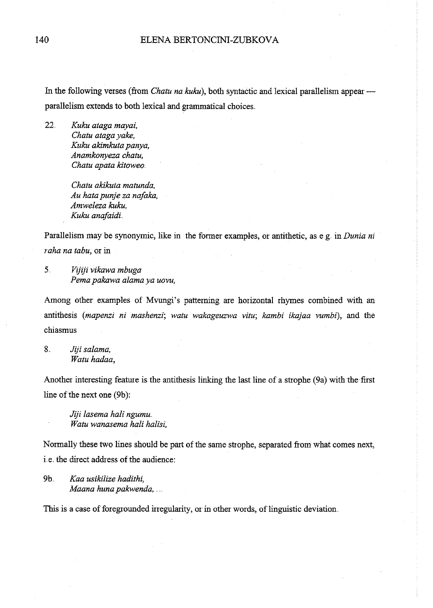In the following verses (from *Chatu na kuku*), both syntactic and lexical parallelism appearparallelism extends to both lexical and grammatical choices ..

22.. *Kuku ataga mayai, Chatu atagayake, Kuku akimkuta panya, Anamkonyeza chatu, Chatu apata kitoweo.* 

> *Chatu akikuta matunda, Au hata punje za nafaka, Amweleza kuku, Kuku anafaidi ..*

Parallelism may be synonymic, like in the former examples, or antithetic, as e.g. in *Dunia ni raha na tabu,* or in

5.. *Vijiji vikawa mbuga Pema pakawa alama ya uovu,* 

Among other examples of Mvungi's patteming are horizontal rhymes combined with an antifhesis *(mapenzi ni mashenzi; watu wakageuzwa vitu; kambi ikajaa vumbi),* and the chiasmus

8.. *Jiji salama, Watu hadaa,* 

Another interesting featwe is the antithesis linking the last line of a strophe (9a) with the first line of the next one (9b):

*Jiji lasema hali ngumu. Watu wanasema hali halisi,* 

Normally these two lines should be part of the same strophe, separated from what comes next, i.e. the direct address of the audience:

9b. *Kaa usikilize hadithi, Maana huna pakwenda,* 

This is a case of foregrounded irregularity, or in other words, of linguistic deviation.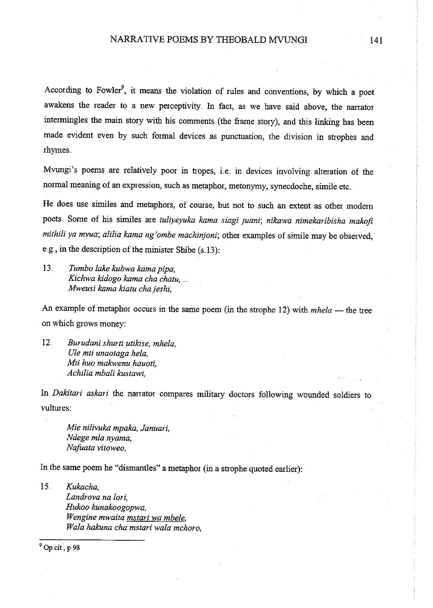According to Fowler<sup>9</sup>, it means the violation of rules and conventions, by which a poet awakens the reader to a new perceptivity. In fact, as we have said above, the narrator intermingles the main story with his comments (the fiame story), and this linking has been made evident even by such formal devices as punctuation, the division in strophes and rhymes ..

Mvungi's poems are relatively poor in tropes, i.e. in devices involving alteration of the normal meaning of an expression, such as metaphor, metonymy, synecdoche, simile etc ..

He does use similes and metaphors, of course, but not to such an extent as other modem poets .. Some of his similes are *tuliyeyuka kama siagi juani; nikawa nimekaribisha makofi mithili ya mvua; alilia kama ng'ombe machinjoni;* other examples of simile may be observed, e.g., in the description of the minister Shibe  $(s.13)$ :

13.. *Tumbo lake kubwa kama pipa, Kichwa kidogo kama cha chatu,* .. *Mweusi kama kiatu cha jeshi,* 

An example of metaphor occurs in the same poem (in the strophe 12) with *mhela* - the tree on which grows money:

12. *Burudani shurti utikise, mhela, Ule mti unaotaga he/a, Mti huo makwenu hauoti, Achilia mbali kustawi,* 

In *Dakitari askari* the narrator compares military doctors following wounded soldiers to vultures:

*Mie nilivuka mpaka, Januari, Ndege mla nyama, Nafuata vitoweo,* 

In the same poem he "dismantles" a metaphor (in a strophe quoted earlier):

15.. *Kukacha, Landrova na fori, Hukoo kunakoogopwa, Wengine mwaita mstari wa mbele. Wala hakuna cha mstari wala mchoro,* 

 $9$  Op.cit., p 98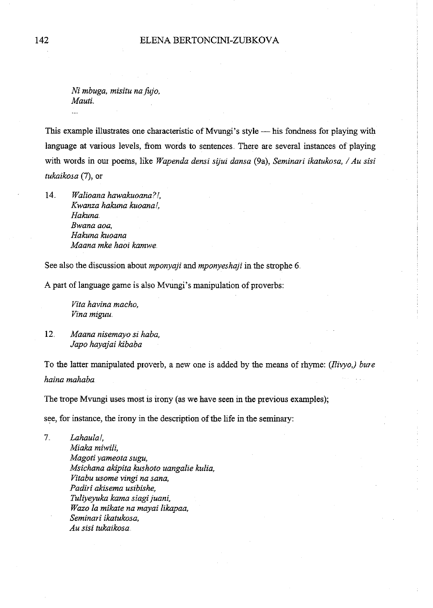$Ni$  mbuga, misitu na fujo, *Mauti..* 

This example illustrates one characteristic of Mvungi's style — his fondness for playing with language at various levels, from words to sentences. There are several instances of playing with words in our poems, like *Wapenda densi sijui dansa* (9a), *Seminari ikatukosa, I Au sisi tukaikosa* (7), or

14. *Walioana hawakuoana?l, Kwanza hakuna kuoanal, Hakuna. Bwana aoa, Hakuna kuoana Maana mke haoi kamwe* 

See also the discussion about *mponyaji* and *mponyeshaji* in the strophe 6..

A part of language game is also Mvungi's manipulation of proverbs:

*Vita havina macho, Vina miguu ..* 

12.. *Maana nisemayo si haba, Japo hayajai kibaba* 

To the latter manipulated proverb, a new one is added by the means ofrhyme: *(llivyo,) bure haina mahaba* 

The trope Mvungi uses most is irony (as we have seen in the previous examples);

see, for instance, the irony in the description of the life in the seminary:

7.. *Lahaulal, Miaka miwili, Magotiyameota sugu, Msichana akipita kushoto uangalie kulia, Vitabu usome vingi na sana,*  Padiri akisema usibishe. Tul~yeyuka *kama siagi juani, W azo la mikate na mayai likapaa, Seminari ikatukosa, Au sisi tukaikosa*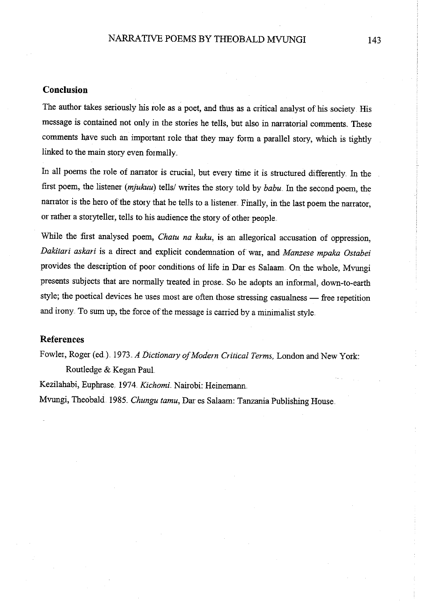### **Conclusion**

The author takes seriously his role as a poet, and thus as a critical analyst of his society. His message is contained not only in the stories he tells, but also in narratorial comments. These comments have such an important role that they may form a parallel story, which is tightly linked to the main story even formally.

In all poems the role of narrator is crucial, but every time it is structured differently. In the first poem, the listener *(mjukuu)* tells/ writes the story told by *babu ..* In the second poem, the narrator is the hero of the story that he tells to a listener. Finally, in the last poem the narrator, or rather a storyteller, tells to his audience the story of other people ..

While the first analysed poem, *Chatu na kuku,* is an allegorical accusation of oppression, *Dakitari askari* is a direct and explicit condenmation of war, and *Manzese mpaka Ostabei*  provides the description of poor conditions of life in Dar es Salaam. On the whole, Mvungi presents subjects that are normally treated in prose. So he adopts an informal, down-to-earth style; the poetical devices he uses most are often those stressing casualness - free repetition **and irony .. To sum up, the force of the message is canied by a minimalist style ..** 

### **References**

Fowler, Roger (ed.). 1973 *A Dictionary of Modern Critical Terms*, London and New York: Routledge & Kegan PauL

Kezilahabi, Euphrase 1974 *Kichomi* Nairobi: Heinemann.

Mvungi, Theobald. 1985. *Chungu tamu*, Dar es Salaam: Tanzania Publishing House.